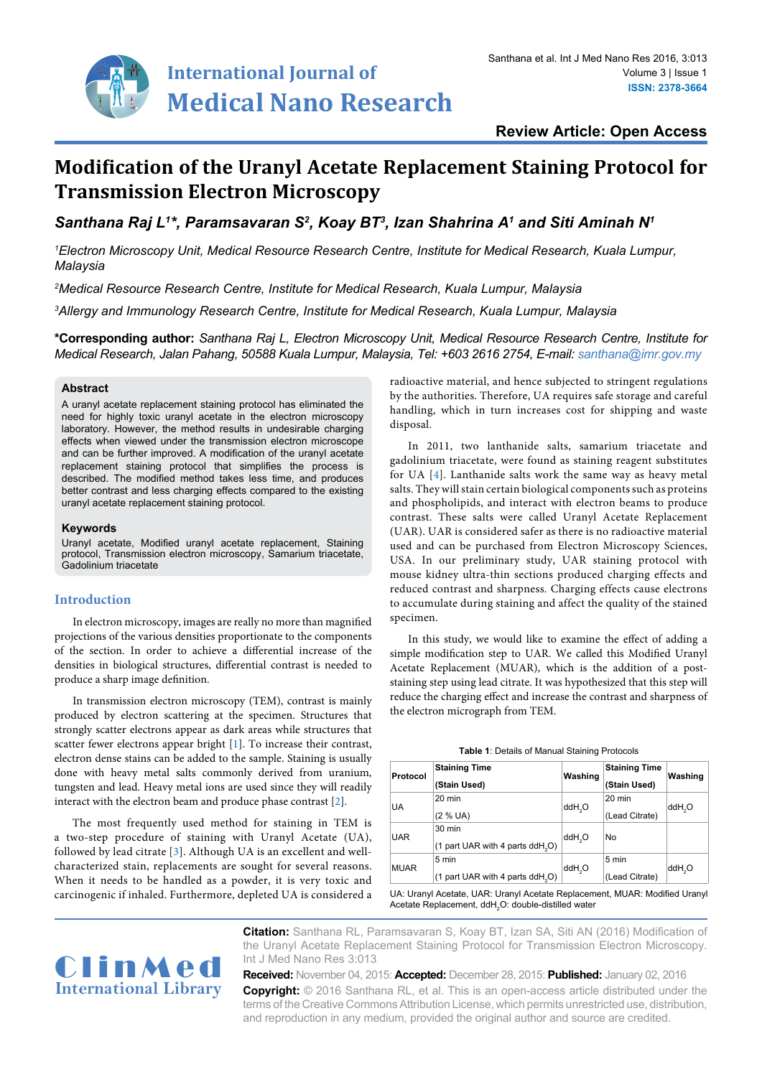

**Review Article: Open Access**

# **Modification of the Uranyl Acetate Replacement Staining Protocol for Transmission Electron Microscopy**

*Santhana Raj L1 \*, Paramsavaran S2 , Koay BT3 , Izan Shahrina A1 and Siti Aminah N1*

*1 Electron Microscopy Unit, Medical Resource Research Centre, Institute for Medical Research, Kuala Lumpur, Malaysia*

*2 Medical Resource Research Centre, Institute for Medical Research, Kuala Lumpur, Malaysia*

*3 Allergy and Immunology Research Centre, Institute for Medical Research, Kuala Lumpur, Malaysia*

**\*Corresponding author:** *Santhana Raj L, Electron Microscopy Unit, Medical Resource Research Centre, Institute for Medical Research, Jalan Pahang, 50588 Kuala Lumpur, Malaysia, Tel: +603 2616 2754, E-mail: santhana@imr.gov.my*

## **Abstract**

A uranyl acetate replacement staining protocol has eliminated the need for highly toxic uranyl acetate in the electron microscopy laboratory. However, the method results in undesirable charging effects when viewed under the transmission electron microscope and can be further improved. A modification of the uranyl acetate replacement staining protocol that simplifies the process is described. The modified method takes less time, and produces better contrast and less charging effects compared to the existing uranyl acetate replacement staining protocol.

#### **Keywords**

Uranyl acetate, Modified uranyl acetate replacement, Staining protocol, Transmission electron microscopy, Samarium triacetate, Gadolinium triacetate

## **Introduction**

In electron microscopy, images are really no more than magnified projections of the various densities proportionate to the components of the section. In order to achieve a differential increase of the densities in biological structures, differential contrast is needed to produce a sharp image definition.

In transmission electron microscopy (TEM), contrast is mainly produced by electron scattering at the specimen. Structures that strongly scatter electrons appear as dark areas while structures that scatter fewer electrons appear bright [\[1](#page-2-0)]. To increase their contrast, electron dense stains can be added to the sample. Staining is usually done with heavy metal salts commonly derived from uranium, tungsten and lead. Heavy metal ions are used since they will readily interact with the electron beam and produce phase contrast [[2](#page-2-1)].

The most frequently used method for staining in TEM is a two-step procedure of staining with Uranyl Acetate (UA), followed by lead citrate [\[3\]](#page-2-2). Although UA is an excellent and wellcharacterized stain, replacements are sought for several reasons. When it needs to be handled as a powder, it is very toxic and carcinogenic if inhaled. Furthermore, depleted UA is considered a

radioactive material, and hence subjected to stringent regulations by the authorities. Therefore, UA requires safe storage and careful handling, which in turn increases cost for shipping and waste disposal.

In 2011, two lanthanide salts, samarium triacetate and gadolinium triacetate, were found as staining reagent substitutes for UA [[4](#page-2-3)]. Lanthanide salts work the same way as heavy metal salts. They will stain certain biological components such as proteins and phospholipids, and interact with electron beams to produce contrast. These salts were called Uranyl Acetate Replacement (UAR). UAR is considered safer as there is no radioactive material used and can be purchased from Electron Microscopy Sciences, USA. In our preliminary study, UAR staining protocol with mouse kidney ultra-thin sections produced charging effects and reduced contrast and sharpness. Charging effects cause electrons to accumulate during staining and affect the quality of the stained specimen.

In this study, we would like to examine the effect of adding a simple modification step to UAR. We called this Modified Uranyl Acetate Replacement (MUAR), which is the addition of a poststaining step using lead citrate. It was hypothesized that this step will reduce the charging effect and increase the contrast and sharpness of the electron micrograph from TEM.

<span id="page-0-0"></span>

| Protocol    | <b>Staining Time</b><br>(Stain Used)                             | Washing            | <b>Staining Time</b><br>(Stain Used) | Washing            |
|-------------|------------------------------------------------------------------|--------------------|--------------------------------------|--------------------|
| UA          | 20 min<br>$(2 % UA)$                                             | ddH <sub>2</sub> O | $20 \text{ min}$<br>(Lead Citrate)   | ddH <sub>2</sub> O |
| <b>UAR</b>  | $30 \text{ min}$<br>(1 part UAR with 4 parts ddH <sub>2</sub> O) | ddH <sub>2</sub> O | No                                   |                    |
| <b>MUAR</b> | 5 min<br>$(1$ part UAR with 4 parts ddH <sub>2</sub> O)          | ddH <sub>2</sub> O | 5 min<br>(Lead Citrate)              | ddH <sub>2</sub> O |

UA: Uranyl Acetate, UAR: Uranyl Acetate Replacement, MUAR: Modified Uranyl Acetate Replacement, ddH<sub>2</sub>O: double-distilled water



**Citation:** Santhana RL, Paramsavaran S, Koay BT, Izan SA, Siti AN (2016) Modification of the Uranyl Acetate Replacement Staining Protocol for Transmission Electron Microscopy. Int J Med Nano Res 3:013

**Received:** November 04, 2015: **Accepted:** December 28, 2015: **Published:** January 02, 2016 **Copyright:** © 2016 Santhana RL, et al. This is an open-access article distributed under the terms of the Creative Commons Attribution License, which permits unrestricted use, distribution, and reproduction in any medium, provided the original author and source are credited.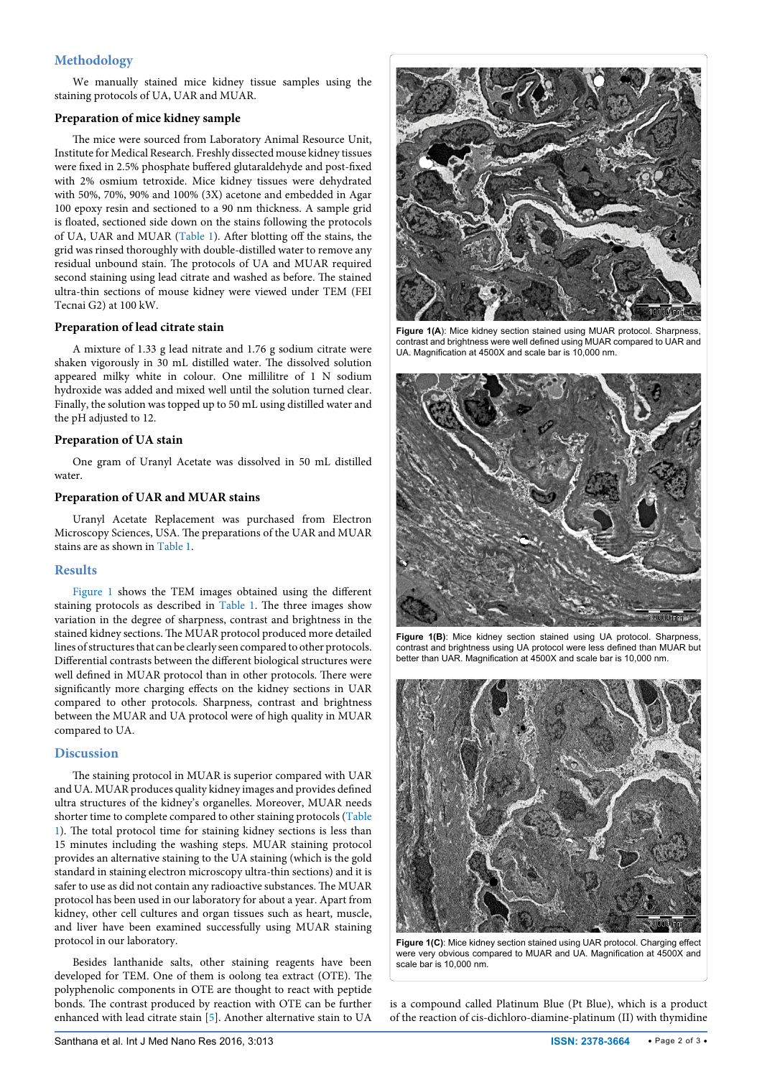# **Methodology**

We manually stained mice kidney tissue samples using the staining protocols of UA, UAR and MUAR.

## **Preparation of mice kidney sample**

The mice were sourced from Laboratory Animal Resource Unit, Institute for Medical Research. Freshly dissected mouse kidney tissues were fixed in 2.5% phosphate buffered glutaraldehyde and post-fixed with 2% osmium tetroxide. Mice kidney tissues were dehydrated with 50%, 70%, 90% and 100% (3X) acetone and embedded in Agar 100 epoxy resin and sectioned to a 90 nm thickness. A sample grid is floated, sectioned side down on the stains following the protocols of UA, UAR and MUAR ([Table 1\)](#page-0-0). After blotting off the stains, the grid was rinsed thoroughly with double-distilled water to remove any residual unbound stain. The protocols of UA and MUAR required second staining using lead citrate and washed as before. The stained ultra-thin sections of mouse kidney were viewed under TEM (FEI Tecnai G2) at 100 kW.

## **Preparation of lead citrate stain**

A mixture of 1.33 g lead nitrate and 1.76 g sodium citrate were shaken vigorously in 30 mL distilled water. The dissolved solution appeared milky white in colour. One millilitre of 1 N sodium hydroxide was added and mixed well until the solution turned clear. Finally, the solution was topped up to 50 mL using distilled water and the pH adjusted to 12.

#### **Preparation of UA stain**

One gram of Uranyl Acetate was dissolved in 50 mL distilled water.

#### **Preparation of UAR and MUAR stains**

Uranyl Acetate Replacement was purchased from Electron Microscopy Sciences, USA. The preparations of the UAR and MUAR stains are as shown in [Table 1](#page-0-0).

#### **Results**

[Figure 1](#page-1-0) shows the TEM images obtained using the different staining protocols as described in T[able 1](#page-0-0). The three images show variation in the degree of sharpness, contrast and brightness in the stained kidney sections. The MUAR protocol produced more detailed lines of structures that can be clearly seen compared to other protocols. Differential contrasts between the different biological structures were well defined in MUAR protocol than in other protocols. There were significantly more charging effects on the kidney sections in UAR compared to other protocols. Sharpness, contrast and brightness between the MUAR and UA protocol were of high quality in MUAR compared to UA.

## **Discussion**

The staining protocol in MUAR is superior compared with UAR and UA. MUAR produces quality kidney images and provides defined ultra structures of the kidney's organelles. Moreover, MUAR needs shorter time to complete compared to other staining protocols [\(Table](#page-0-0)  [1\)](#page-0-0). The total protocol time for staining kidney sections is less than 15 minutes including the washing steps. MUAR staining protocol provides an alternative staining to the UA staining (which is the gold standard in staining electron microscopy ultra-thin sections) and it is safer to use as did not contain any radioactive substances. The MUAR protocol has been used in our laboratory for about a year. Apart from kidney, other cell cultures and organ tissues such as heart, muscle, and liver have been examined successfully using MUAR staining protocol in our laboratory.

Besides lanthanide salts, other staining reagents have been developed for TEM. One of them is oolong tea extract (OTE). The polyphenolic components in OTE are thought to react with peptide bonds. The contrast produced by reaction with OTE can be further enhanced with lead citrate stain [\[5\]](#page-2-4). Another alternative stain to UA

<span id="page-1-0"></span>

Figure 1(A): Mice kidney section stained using MUAR protocol. Sharpness, contrast and brightness were well defined using MUAR compared to UAR and UA. Magnification at 4500X and scale bar is 10,000 nm.



**Figure 1(B)**: Mice kidney section stained using UA protocol. Sharpness, contrast and brightness using UA protocol were less defined than MUAR but better than UAR. Magnification at 4500X and scale bar is 10,000 nm.



**Figure 1(C)**: Mice kidney section stained using UAR protocol. Charging effect were very obvious compared to MUAR and UA. Magnification at 4500X and scale bar is 10,000 nm.

is a compound called Platinum Blue (Pt Blue), which is a product of the reaction of cis-dichloro-diamine-platinum (II) with thymidine